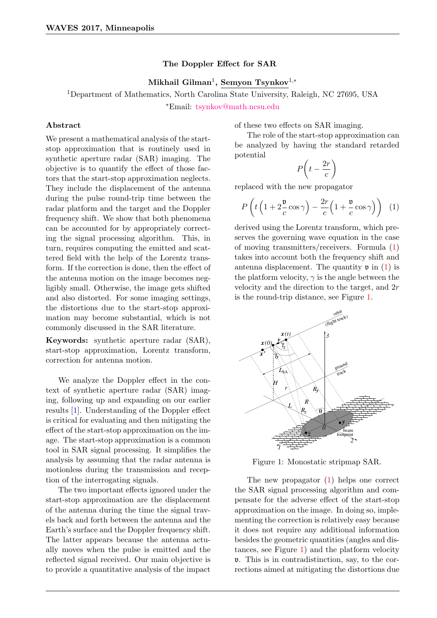## The Doppler Effect for SAR

Mikhail Gilman<sup>1</sup>, Semyon Tsynkov<sup>1,\*</sup>

<sup>1</sup>Department of Mathematics, North Carolina State University, Raleigh, NC 27695, USA <sup>∗</sup>Email: [tsynkov@math.ncsu.edu](mailto:tsynkov@math.ncsu.edu)

## Abstract

We present a mathematical analysis of the startstop approximation that is routinely used in synthetic aperture radar (SAR) imaging. The objective is to quantify the effect of those factors that the start-stop approximation neglects. They include the displacement of the antenna during the pulse round-trip time between the radar platform and the target and the Doppler frequency shift. We show that both phenomena can be accounted for by appropriately correcting the signal processing algorithm. This, in turn, requires computing the emitted and scattered field with the help of the Lorentz transform. If the correction is done, then the effect of the antenna motion on the image becomes negligibly small. Otherwise, the image gets shifted and also distorted. For some imaging settings, the distortions due to the start-stop approximation may become substantial, which is not commonly discussed in the SAR literature.

Keywords: synthetic aperture radar (SAR), start-stop approximation, Lorentz transform, correction for antenna motion.

We analyze the Doppler effect in the context of synthetic aperture radar (SAR) imaging, following up and expanding on our earlier results [\[1\]](#page-1-0). Understanding of the Doppler effect is critical for evaluating and then mitigating the effect of the start-stop approximation on the image. The start-stop approximation is a common tool in SAR signal processing. It simplifies the analysis by assuming that the radar antenna is motionless during the transmission and reception of the interrogating signals.

The two important effects ignored under the start-stop approximation are the displacement of the antenna during the time the signal travels back and forth between the antenna and the Earth's surface and the Doppler frequency shift. The latter appears because the antenna actually moves when the pulse is emitted and the reflected signal received. Our main objective is to provide a quantitative analysis of the impact

of these two effects on SAR imaging.

The role of the start-stop approximation can be analyzed by having the standard retarded potential

$$
P\left(t - \frac{2r}{c}\right)
$$

replaced with the new propagator

<span id="page-0-0"></span>
$$
P\left(t\left(1+2\frac{\mathfrak{v}}{c}\cos\gamma\right)-\frac{2r}{c}\left(1+\frac{\mathfrak{v}}{c}\cos\gamma\right)\right) \tag{1}
$$

derived using the Lorentz transform, which preserves the governing wave equation in the case of moving transmitters/receivers. Formula [\(1\)](#page-0-0) takes into account both the frequency shift and antenna displacement. The quantity  $\mathfrak{v}$  in [\(1\)](#page-0-0) is the platform velocity,  $\gamma$  is the angle between the velocity and the direction to the target, and 2r is the round-trip distance, see Figure [1.](#page-0-1)



<span id="page-0-1"></span>Figure 1: Monostatic stripmap SAR.

The new propagator [\(1\)](#page-0-0) helps one correct the SAR signal processing algorithm and compensate for the adverse effect of the start-stop approximation on the image. In doing so, implementing the correction is relatively easy because it does not require any additional information besides the geometric quantities (angles and distances, see Figure [1\)](#page-0-1) and the platform velocity v. This is in contradistinction, say, to the corrections aimed at mitigating the distortions due